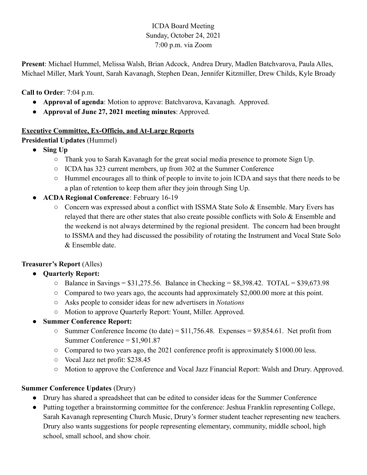# ICDA Board Meeting Sunday, October 24, 2021 7:00 p.m. via Zoom

**Present**: Michael Hummel, Melissa Walsh, Brian Adcock, Andrea Drury, Madlen Batchvarova, Paula Alles, Michael Miller, Mark Yount, Sarah Kavanagh, Stephen Dean, Jennifer Kitzmiller, Drew Childs, Kyle Broady

**Call to Order**: 7:04 p.m.

- **Approval of agenda**: Motion to approve: Batchvarova, Kavanagh. Approved.
- **Approval of June 27, 2021 meeting minutes**: Approved.

#### **Executive Committee, Ex-Officio, and At-Large Reports**

**Presidential Updates** (Hummel)

- **Sing Up**
	- Thank you to Sarah Kavanagh for the great social media presence to promote Sign Up.
	- ICDA has 323 current members, up from 302 at the Summer Conference
	- Hummel encourages all to think of people to invite to join ICDA and says that there needs to be a plan of retention to keep them after they join through Sing Up.
- **ACDA Regional Conference**: February 16-19
	- Concern was expressed about a conflict with ISSMA State Solo & Ensemble. Mary Evers has relayed that there are other states that also create possible conflicts with Solo & Ensemble and the weekend is not always determined by the regional president. The concern had been brought to ISSMA and they had discussed the possibility of rotating the Instrument and Vocal State Solo & Ensemble date.

## **Treasurer's Report** (Alles)

- **● Quarterly Report:**
	- **○** Balance in Savings = \$31,275.56. Balance in Checking = \$8,398.42. TOTAL = \$39,673.98
	- **○** Compared to two years ago, the accounts had approximately \$2,000.00 more at this point.
	- **○** Asks people to consider ideas for new advertisers in *Notations*
	- **○** Motion to approve Quarterly Report: Yount, Miller. Approved.
- **● Summer Conference Report:**
	- **○** Summer Conference Income (to date) = \$11,756.48. Expenses = \$9,854.61. Net profit from Summer Conference = \$1,901.87
	- **○** Compared to two years ago, the 2021 conference profit is approximately \$1000.00 less.
	- **○** Vocal Jazz net profit: \$238.45
	- **○** Motion to approve the Conference and Vocal Jazz Financial Report: Walsh and Drury. Approved.

## **Summer Conference Updates** (Drury)

- Drury has shared a spreadsheet that can be edited to consider ideas for the Summer Conference
- Putting together a brainstorming committee for the conference: Jeshua Franklin representing College, Sarah Kavanagh representing Church Music, Drury's former student teacher representing new teachers. Drury also wants suggestions for people representing elementary, community, middle school, high school, small school, and show choir.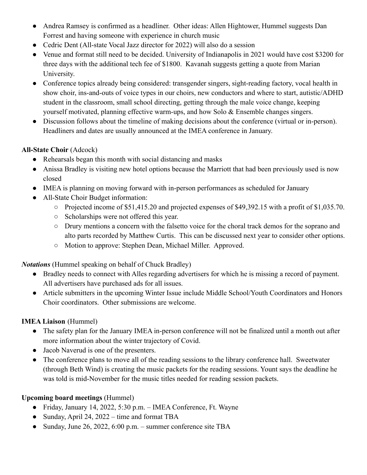- Andrea Ramsey is confirmed as a headliner. Other ideas: Allen Hightower, Hummel suggests Dan Forrest and having someone with experience in church music
- Cedric Dent (All-state Vocal Jazz director for 2022) will also do a session
- Venue and format still need to be decided. University of Indianapolis in 2021 would have cost \$3200 for three days with the additional tech fee of \$1800. Kavanah suggests getting a quote from Marian University.
- Conference topics already being considered: transgender singers, sight-reading factory, vocal health in show choir, ins-and-outs of voice types in our choirs, new conductors and where to start, autistic/ADHD student in the classroom, small school directing, getting through the male voice change, keeping yourself motivated, planning effective warm-ups, and how Solo & Ensemble changes singers.
- Discussion follows about the timeline of making decisions about the conference (virtual or in-person). Headliners and dates are usually announced at the IMEA conference in January.

## **All-State Choir** (Adcock)

- Rehearsals began this month with social distancing and masks
- Anissa Bradley is visiting new hotel options because the Marriott that had been previously used is now closed
- IMEA is planning on moving forward with in-person performances as scheduled for January
- All-State Choir Budget information:
	- Projected income of \$51,415.20 and projected expenses of \$49,392.15 with a profit of \$1,035.70.
	- Scholarships were not offered this year.
	- Drury mentions a concern with the falsetto voice for the choral track demos for the soprano and alto parts recorded by Matthew Curtis. This can be discussed next year to consider other options.
	- Motion to approve: Stephen Dean, Michael Miller. Approved.

*Notations* (Hummel speaking on behalf of Chuck Bradley)

- Bradley needs to connect with Alles regarding advertisers for which he is missing a record of payment. All advertisers have purchased ads for all issues.
- Article submitters in the upcoming Winter Issue include Middle School/Youth Coordinators and Honors Choir coordinators. Other submissions are welcome.

## **IMEA Liaison** (Hummel)

- The safety plan for the January IMEA in-person conference will not be finalized until a month out after more information about the winter trajectory of Covid.
- Jacob Naverud is one of the presenters.
- The conference plans to move all of the reading sessions to the library conference hall. Sweetwater (through Beth Wind) is creating the music packets for the reading sessions. Yount says the deadline he was told is mid-November for the music titles needed for reading session packets.

# **Upcoming board meetings** (Hummel)

- Friday, January 14, 2022, 5:30 p.m. IMEA Conference, Ft. Wayne
- Sunday, April 24, 2022 time and format TBA
- Sunday, June 26, 2022, 6:00 p.m. summer conference site TBA